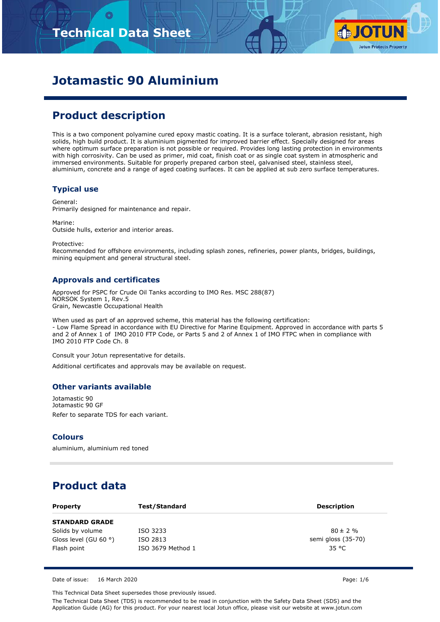# **Technical Data Sheet**



# **Jotamastic 90 Aluminium**

## **Product description**

This is a two component polyamine cured epoxy mastic coating. It is a surface tolerant, abrasion resistant, high solids, high build product. It is aluminium pigmented for improved barrier effect. Specially designed for areas where optimum surface preparation is not possible or required. Provides long lasting protection in environments with high corrosivity. Can be used as primer, mid coat, finish coat or as single coat system in atmospheric and immersed environments. Suitable for properly prepared carbon steel, galvanised steel, stainless steel, aluminium, concrete and a range of aged coating surfaces. It can be applied at sub zero surface temperatures.

### **Typical use**

General: Primarily designed for maintenance and repair.

Marine: Outside hulls, exterior and interior areas.

Protective:

Recommended for offshore environments, including splash zones, refineries, power plants, bridges, buildings, mining equipment and general structural steel.

### **Approvals and certificates**

Approved for PSPC for Crude Oil Tanks according to IMO Res. MSC 288(87) NORSOK System 1, Rev.5 Grain, Newcastle Occupational Health

When used as part of an approved scheme, this material has the following certification: - Low Flame Spread in accordance with EU Directive for Marine Equipment. Approved in accordance with parts 5 and 2 of Annex 1 of IMO 2010 FTP Code, or Parts 5 and 2 of Annex 1 of IMO FTPC when in compliance with IMO 2010 FTP Code Ch. 8

Consult your Jotun representative for details.

Additional certificates and approvals may be available on request.

#### **Other variants available**

Jotamastic 90 Jotamastic 90 GF Refer to separate TDS for each variant.

#### **Colours**

aluminium, aluminium red toned

## **Product data**

| <b>Property</b>                | Test/Standard     | <b>Description</b> |
|--------------------------------|-------------------|--------------------|
| <b>STANDARD GRADE</b>          |                   |                    |
| Solids by volume               | ISO 3233          | $80 \pm 2 \%$      |
| Gloss level (GU 60 $\degree$ ) | ISO 2813          | semi gloss (35-70) |
| Flash point                    | ISO 3679 Method 1 | 35 °C              |

Date of issue: 16 March 2020 Page: 1/6

This Technical Data Sheet supersedes those previously issued.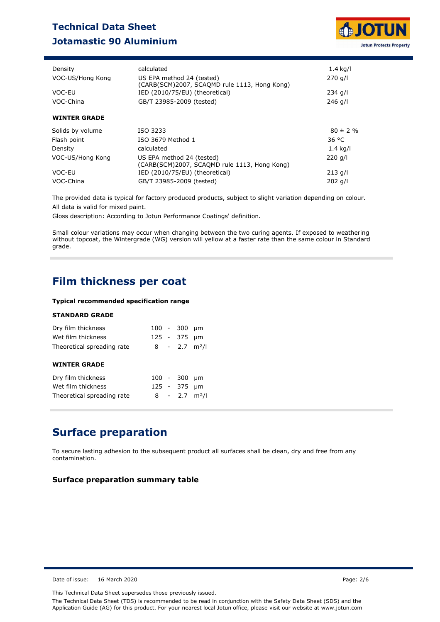## **Technical Data Sheet Jotamastic 90 Aluminium**



| Density             | calculated                                                                | $1.4$ kg/l    |
|---------------------|---------------------------------------------------------------------------|---------------|
| VOC-US/Hong Kong    | US EPA method 24 (tested)<br>(CARB(SCM)2007, SCAQMD rule 1113, Hong Kong) | 270 g/l       |
| VOC-EU              | IED (2010/75/EU) (theoretical)                                            | $234$ g/l     |
| VOC-China           | GB/T 23985-2009 (tested)                                                  | $246$ a/l     |
| <b>WINTER GRADE</b> |                                                                           |               |
| Solids by volume    | ISO 3233                                                                  | $80 \pm 2 \%$ |
| Flash point         | ISO 3679 Method 1                                                         | 36 °C         |
| Density             | calculated                                                                | $1.4$ kg/l    |
| VOC-US/Hong Kong    | US EPA method 24 (tested)<br>(CARB(SCM)2007, SCAQMD rule 1113, Hong Kong) | $220$ g/l     |
| VOC-EU              | IED (2010/75/EU) (theoretical)                                            | $213$ g/l     |
| VOC-China           | GB/T 23985-2009 (tested)                                                  | $202$ g/l     |

The provided data is typical for factory produced products, subject to slight variation depending on colour. All data is valid for mixed paint.

Gloss description: According to Jotun Performance Coatings' definition.

Small colour variations may occur when changing between the two curing agents. If exposed to weathering without topcoat, the Wintergrade (WG) version will yellow at a faster rate than the same colour in Standard grade.

### **Film thickness per coat**

### **Typical recommended specification range**

#### **STANDARD GRADE**

| Dry film thickness<br>Wet film thickness<br>Theoretical spreading rate |             | $100 - 300$ µm<br>125 - 375 µm<br>$8 - 2.7$ m <sup>2</sup> /l |      |
|------------------------------------------------------------------------|-------------|---------------------------------------------------------------|------|
| <b>WINTER GRADE</b>                                                    |             |                                                               |      |
| Dry film thickness<br>Wet film thickness<br>Theoretical spreading rate | $100 - 300$ | 125 - 375 µm<br>$8 - 2.7$ m <sup>2</sup> /l                   | - um |

### **Surface preparation**

To secure lasting adhesion to the subsequent product all surfaces shall be clean, dry and free from any contamination.

#### **Surface preparation summary table**

Date of issue: 16 March 2020 Page: 2/6

This Technical Data Sheet supersedes those previously issued.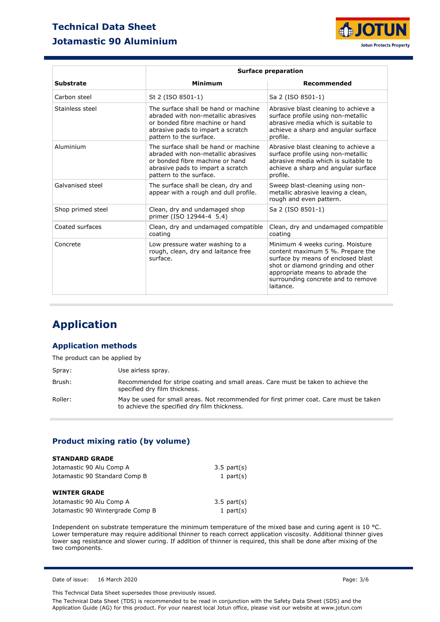### **Technical Data Sheet Jotamastic 90 Aluminium**



|                   |                                                                                                                                                                                | <b>Surface preparation</b>                                                                                                                                                                                                             |  |  |  |
|-------------------|--------------------------------------------------------------------------------------------------------------------------------------------------------------------------------|----------------------------------------------------------------------------------------------------------------------------------------------------------------------------------------------------------------------------------------|--|--|--|
| <b>Substrate</b>  | <b>Minimum</b>                                                                                                                                                                 | Recommended                                                                                                                                                                                                                            |  |  |  |
| Carbon steel      | St 2 (ISO 8501-1)                                                                                                                                                              | Sa 2 (ISO 8501-1)                                                                                                                                                                                                                      |  |  |  |
| Stainless steel   | The surface shall be hand or machine<br>abraded with non-metallic abrasives<br>or bonded fibre machine or hand<br>abrasive pads to impart a scratch<br>pattern to the surface. | Abrasive blast cleaning to achieve a<br>surface profile using non-metallic<br>abrasive media which is suitable to<br>achieve a sharp and angular surface<br>profile.                                                                   |  |  |  |
| Aluminium         | The surface shall be hand or machine<br>abraded with non-metallic abrasives<br>or bonded fibre machine or hand<br>abrasive pads to impart a scratch<br>pattern to the surface. | Abrasive blast cleaning to achieve a<br>surface profile using non-metallic<br>abrasive media which is suitable to<br>achieve a sharp and angular surface<br>profile.                                                                   |  |  |  |
| Galvanised steel  | The surface shall be clean, dry and<br>appear with a rough and dull profile.                                                                                                   | Sweep blast-cleaning using non-<br>metallic abrasive leaving a clean,<br>rough and even pattern.                                                                                                                                       |  |  |  |
| Shop primed steel | Clean, dry and undamaged shop<br>primer (ISO 12944-4 5.4)                                                                                                                      | Sa 2 (ISO 8501-1)                                                                                                                                                                                                                      |  |  |  |
| Coated surfaces   | Clean, dry and undamaged compatible<br>coating                                                                                                                                 | Clean, dry and undamaged compatible<br>coating                                                                                                                                                                                         |  |  |  |
| Concrete          | Low pressure water washing to a<br>rough, clean, dry and laitance free<br>surface.                                                                                             | Minimum 4 weeks curing. Moisture<br>content maximum 5 %. Prepare the<br>surface by means of enclosed blast<br>shot or diamond grinding and other<br>appropriate means to abrade the<br>surrounding concrete and to remove<br>laitance. |  |  |  |

# **Application**

### **Application methods**

The product can be applied by

| Spray:  | Use airless spray.                                                                                                                     |
|---------|----------------------------------------------------------------------------------------------------------------------------------------|
| Brush:  | Recommended for stripe coating and small areas. Care must be taken to achieve the<br>specified dry film thickness.                     |
| Roller: | May be used for small areas. Not recommended for first primer coat. Care must be taken<br>to achieve the specified dry film thickness. |

### **Product mixing ratio (by volume)**

| <b>STANDARD GRADE</b>            |                  |
|----------------------------------|------------------|
| Jotamastic 90 Alu Comp A         | $3.5$ part $(s)$ |
| Jotamastic 90 Standard Comp B    | 1 part $(s)$     |
| <b>WINTER GRADE</b>              |                  |
| Jotamastic 90 Alu Comp A         | $3.5$ part $(s)$ |
| Jotamastic 90 Wintergrade Comp B | 1 part $(s)$     |

Independent on substrate temperature the minimum temperature of the mixed base and curing agent is 10 °C. Lower temperature may require additional thinner to reach correct application viscosity. Additional thinner gives lower sag resistance and slower curing. If addition of thinner is required, this shall be done after mixing of the two components.

Date of issue: 16 March 2020 Page: 3/6

This Technical Data Sheet supersedes those previously issued.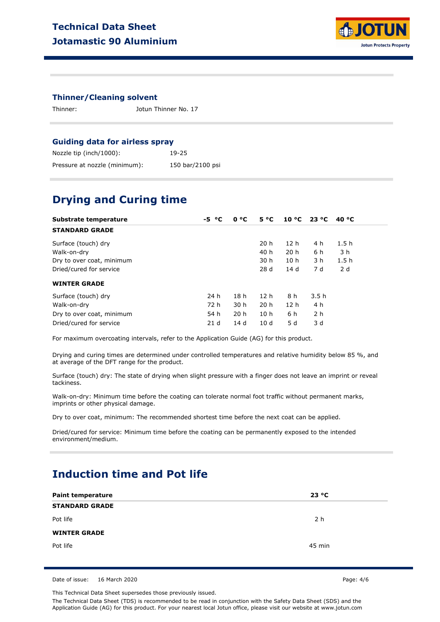

### **Thinner/Cleaning solvent**

Thinner: Jotun Thinner No. 17

### **Guiding data for airless spray**

| Nozzle tip (inch/1000):       | 19-25            |
|-------------------------------|------------------|
| Pressure at nozzle (minimum): | 150 bar/2100 psi |

### **Drying and Curing time**

| Substrate temperature     | $-5 °C$         | 0 °C            | $5^{\circ}C$    |                 | $10 °C$ 23 °C  | 40 °C |  |
|---------------------------|-----------------|-----------------|-----------------|-----------------|----------------|-------|--|
| <b>STANDARD GRADE</b>     |                 |                 |                 |                 |                |       |  |
| Surface (touch) dry       |                 |                 | 20 h            | 12 <sub>h</sub> | 4 h            | 1.5h  |  |
| Walk-on-dry               |                 |                 | 40 h            | 20 <sub>h</sub> | 6 h            | 3 h   |  |
| Dry to over coat, minimum |                 |                 | 30 h            | 10 <sub>h</sub> | 3 h            | 1.5h  |  |
| Dried/cured for service   |                 |                 | 28d             | 14d             | 7 d            | 2 d   |  |
| <b>WINTER GRADE</b>       |                 |                 |                 |                 |                |       |  |
| Surface (touch) dry       | 24 h            | 18 h            | 12 h            | 8 h             | 3.5h           |       |  |
| Walk-on-dry               | 72 h            | 30 h            | 20 <sub>h</sub> | 12 <sub>h</sub> | 4 h            |       |  |
| Dry to over coat, minimum | 54 h            | 20 <sub>h</sub> | 10 <sub>h</sub> | 6 h             | 2 <sub>h</sub> |       |  |
| Dried/cured for service   | 21 <sub>d</sub> | 14d             | 10d             | 5 d             | 3 d            |       |  |

For maximum overcoating intervals, refer to the Application Guide (AG) for this product.

Drying and curing times are determined under controlled temperatures and relative humidity below 85 %, and at average of the DFT range for the product.

Surface (touch) dry: The state of drying when slight pressure with a finger does not leave an imprint or reveal tackiness.

Walk-on-dry: Minimum time before the coating can tolerate normal foot traffic without permanent marks, imprints or other physical damage.

Dry to over coat, minimum: The recommended shortest time before the next coat can be applied.

Dried/cured for service: Minimum time before the coating can be permanently exposed to the intended environment/medium.

### **Induction time and Pot life**

| <b>Paint temperature</b> | 23 °C  |  |
|--------------------------|--------|--|
| <b>STANDARD GRADE</b>    |        |  |
| Pot life                 | 2 h    |  |
| <b>WINTER GRADE</b>      |        |  |
| Pot life                 | 45 min |  |

Date of issue: 16 March 2020 **Page: 4/6** 

This Technical Data Sheet supersedes those previously issued.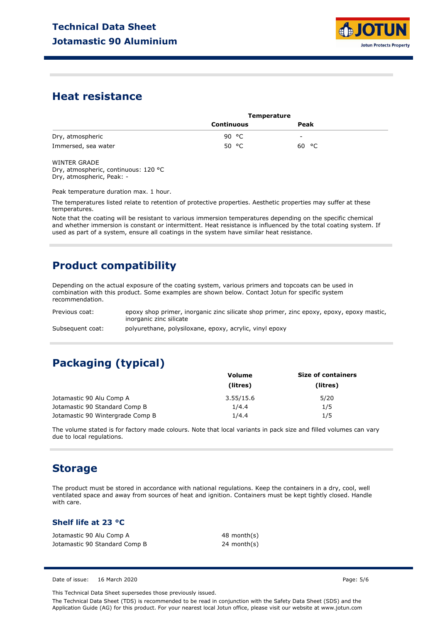

### **Heat resistance**

| <b>Temperature</b> |       |  |
|--------------------|-------|--|
| Continuous         | Peak  |  |
| 90 °C              | -     |  |
| 50 °C              | 60 °C |  |
|                    |       |  |

WINTER GRADE Dry, atmospheric, continuous: 120 °C Dry, atmospheric, Peak: -

Peak temperature duration max. 1 hour.

The temperatures listed relate to retention of protective properties. Aesthetic properties may suffer at these temperatures.

Note that the coating will be resistant to various immersion temperatures depending on the specific chemical and whether immersion is constant or intermittent. Heat resistance is influenced by the total coating system. If used as part of a system, ensure all coatings in the system have similar heat resistance.

## **Product compatibility**

Depending on the actual exposure of the coating system, various primers and topcoats can be used in combination with this product. Some examples are shown below. Contact Jotun for specific system recommendation.

Previous coat: Subsequent coat: epoxy shop primer, inorganic zinc silicate shop primer, zinc epoxy, epoxy, epoxy mastic, inorganic zinc silicate polyurethane, polysiloxane, epoxy, acrylic, vinyl epoxy

# **Packaging (typical)**

|                                  | <b>Volume</b> | <b>Size of containers</b> |  |
|----------------------------------|---------------|---------------------------|--|
|                                  | (litres)      | (litres)                  |  |
| Jotamastic 90 Alu Comp A         | 3.55/15.6     | 5/20                      |  |
| Jotamastic 90 Standard Comp B    | 1/4.4         | 1/5                       |  |
| Jotamastic 90 Wintergrade Comp B | 1/4.4         | 1/5                       |  |

The volume stated is for factory made colours. Note that local variants in pack size and filled volumes can vary due to local regulations.

### **Storage**

The product must be stored in accordance with national regulations. Keep the containers in a dry, cool, well ventilated space and away from sources of heat and ignition. Containers must be kept tightly closed. Handle with care.

### **Shelf life at 23 °C**

Jotamastic 90 Alu Comp A Jotamastic 90 Standard Comp B 48 month(s) 24 month(s)

Date of issue: 16 March 2020 Page: 5/6

This Technical Data Sheet supersedes those previously issued.